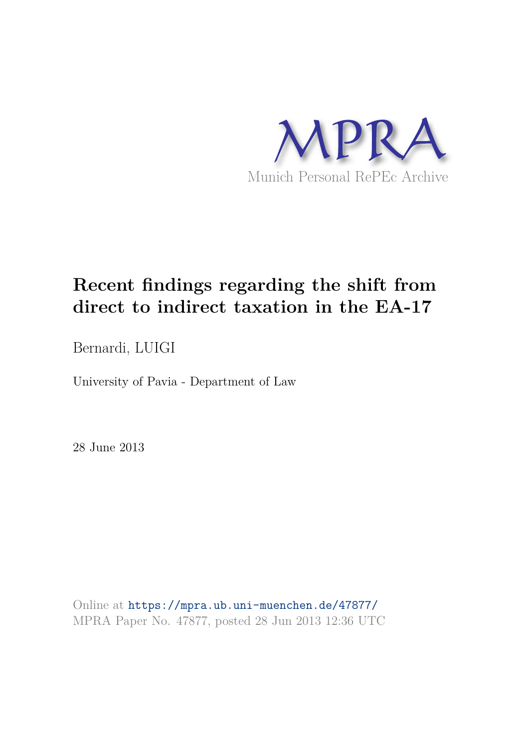

# **Recent findings regarding the shift from direct to indirect taxation in the EA-17**

Bernardi, LUIGI

University of Pavia - Department of Law

28 June 2013

Online at https://mpra.ub.uni-muenchen.de/47877/ MPRA Paper No. 47877, posted 28 Jun 2013 12:36 UTC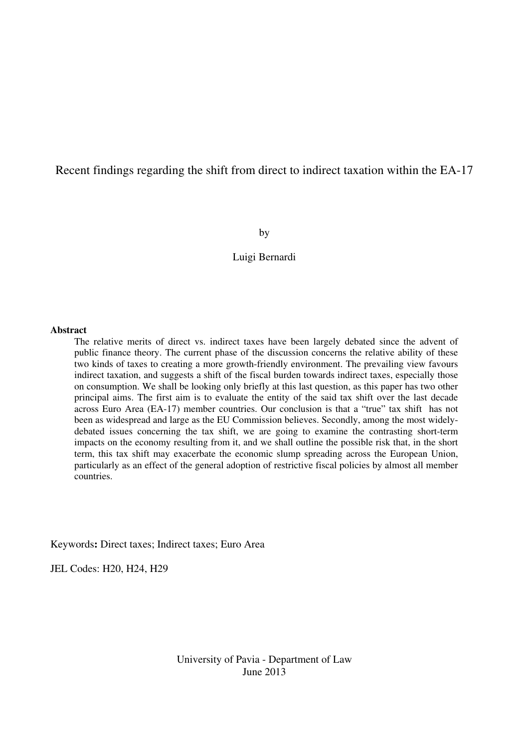# Recent findings regarding the shift from direct to indirect taxation within the EA-17

by

#### Luigi Bernardi

#### **Abstract**

The relative merits of direct vs. indirect taxes have been largely debated since the advent of public finance theory. The current phase of the discussion concerns the relative ability of these two kinds of taxes to creating a more growth-friendly environment. The prevailing view favours indirect taxation, and suggests a shift of the fiscal burden towards indirect taxes, especially those on consumption. We shall be looking only briefly at this last question, as this paper has two other principal aims. The first aim is to evaluate the entity of the said tax shift over the last decade across Euro Area (EA-17) member countries. Our conclusion is that a "true" tax shift has not been as widespread and large as the EU Commission believes. Secondly, among the most widelydebated issues concerning the tax shift, we are going to examine the contrasting short-term impacts on the economy resulting from it, and we shall outline the possible risk that, in the short term, this tax shift may exacerbate the economic slump spreading across the European Union, particularly as an effect of the general adoption of restrictive fiscal policies by almost all member countries.

Keywords**:** Direct taxes; Indirect taxes; Euro Area

JEL Codes: H20, H24, H29

University of Pavia - Department of Law June 2013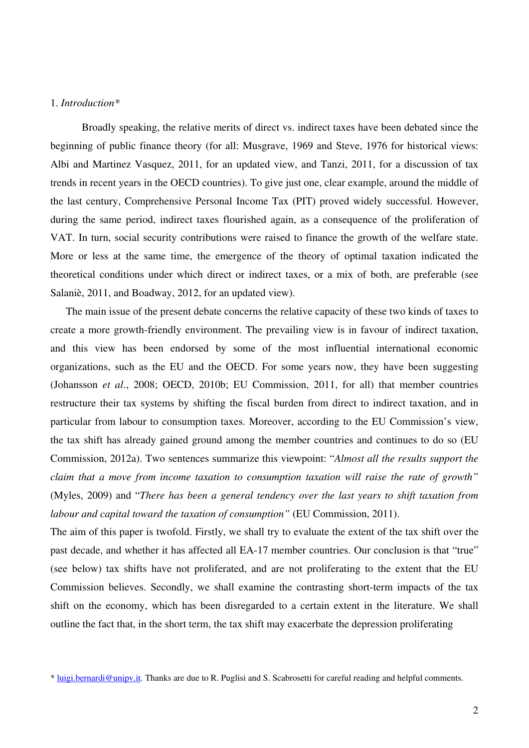#### 1. *Introduction\**

 Broadly speaking, the relative merits of direct vs. indirect taxes have been debated since the beginning of public finance theory (for all: Musgrave, 1969 and Steve, 1976 for historical views: Albi and Martinez Vasquez, 2011, for an updated view, and Tanzi, 2011, for a discussion of tax trends in recent years in the OECD countries). To give just one, clear example, around the middle of the last century, Comprehensive Personal Income Tax (PIT) proved widely successful. However, during the same period, indirect taxes flourished again, as a consequence of the proliferation of VAT. In turn, social security contributions were raised to finance the growth of the welfare state. More or less at the same time, the emergence of the theory of optimal taxation indicated the theoretical conditions under which direct or indirect taxes, or a mix of both, are preferable (see Salaniè, 2011, and Boadway, 2012, for an updated view).

The main issue of the present debate concerns the relative capacity of these two kinds of taxes to create a more growth-friendly environment. The prevailing view is in favour of indirect taxation, and this view has been endorsed by some of the most influential international economic organizations, such as the EU and the OECD. For some years now, they have been suggesting (Johansson *et al*., 2008; OECD, 2010b; EU Commission, 2011, for all) that member countries restructure their tax systems by shifting the fiscal burden from direct to indirect taxation, and in particular from labour to consumption taxes. Moreover, according to the EU Commission's view, the tax shift has already gained ground among the member countries and continues to do so (EU Commission, 2012a). Two sentences summarize this viewpoint: "*Almost all the results support the claim that a move from income taxation to consumption taxation will raise the rate of growth"* (Myles, 2009) and "*There has been a general tendency over the last years to shift taxation from labour and capital toward the taxation of consumption"* (EU Commission, 2011).

The aim of this paper is twofold. Firstly, we shall try to evaluate the extent of the tax shift over the past decade, and whether it has affected all EA-17 member countries. Our conclusion is that "true" (see below) tax shifts have not proliferated, and are not proliferating to the extent that the EU Commission believes. Secondly, we shall examine the contrasting short-term impacts of the tax shift on the economy, which has been disregarded to a certain extent in the literature. We shall outline the fact that, in the short term, the tax shift may exacerbate the depression proliferating

<sup>\*</sup> [luigi.bernardi@unipv.it](mailto:luigi.bernardi@unipv.it). Thanks are due to R. Puglisi and S. Scabrosetti for careful reading and helpful comments.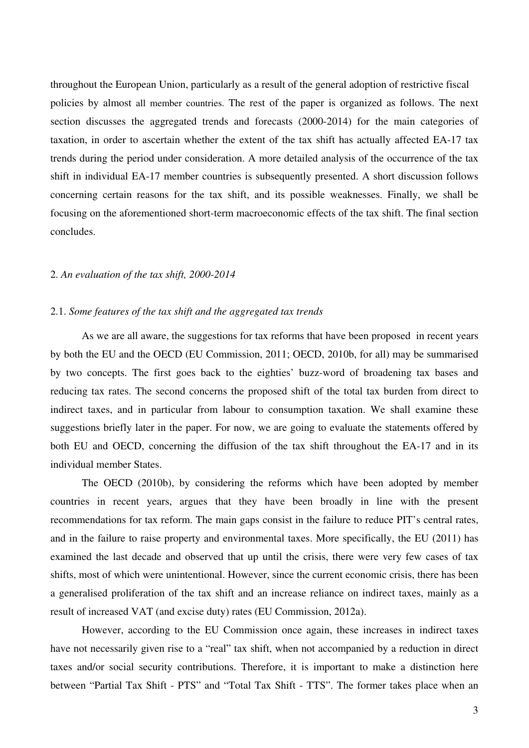throughout the European Union, particularly as a result of the general adoption of restrictive fiscal policies by almost all member countries. The rest of the paper is organized as follows. The next section discusses the aggregated trends and forecasts (2000-2014) for the main categories of taxation, in order to ascertain whether the extent of the tax shift has actually affected EA-17 tax trends during the period under consideration. A more detailed analysis of the occurrence of the tax shift in individual EA-17 member countries is subsequently presented. A short discussion follows concerning certain reasons for the tax shift, and its possible weaknesses. Finally, we shall be focusing on the aforementioned short-term macroeconomic effects of the tax shift. The final section concludes.

#### 2. *An evaluation of the tax shift, 2000-2014*

#### 2.1. *Some features of the tax shift and the aggregated tax trends*

 As we are all aware, the suggestions for tax reforms that have been proposed in recent years by both the EU and the OECD (EU Commission, 2011; OECD, 2010b, for all) may be summarised by two concepts. The first goes back to the eighties' buzz-word of broadening tax bases and reducing tax rates. The second concerns the proposed shift of the total tax burden from direct to indirect taxes, and in particular from labour to consumption taxation. We shall examine these suggestions briefly later in the paper. For now, we are going to evaluate the statements offered by both EU and OECD, concerning the diffusion of the tax shift throughout the EA-17 and in its individual member States.

The OECD (2010b), by considering the reforms which have been adopted by member countries in recent years, argues that they have been broadly in line with the present recommendations for tax reform. The main gaps consist in the failure to reduce PIT's central rates, and in the failure to raise property and environmental taxes. More specifically, the EU (2011) has examined the last decade and observed that up until the crisis, there were very few cases of tax shifts, most of which were unintentional. However, since the current economic crisis, there has been a generalised proliferation of the tax shift and an increase reliance on indirect taxes, mainly as a result of increased VAT (and excise duty) rates (EU Commission, 2012a).

 However, according to the EU Commission once again, these increases in indirect taxes have not necessarily given rise to a "real" tax shift, when not accompanied by a reduction in direct taxes and/or social security contributions. Therefore, it is important to make a distinction here between "Partial Tax Shift - PTS" and "Total Tax Shift - TTS". The former takes place when an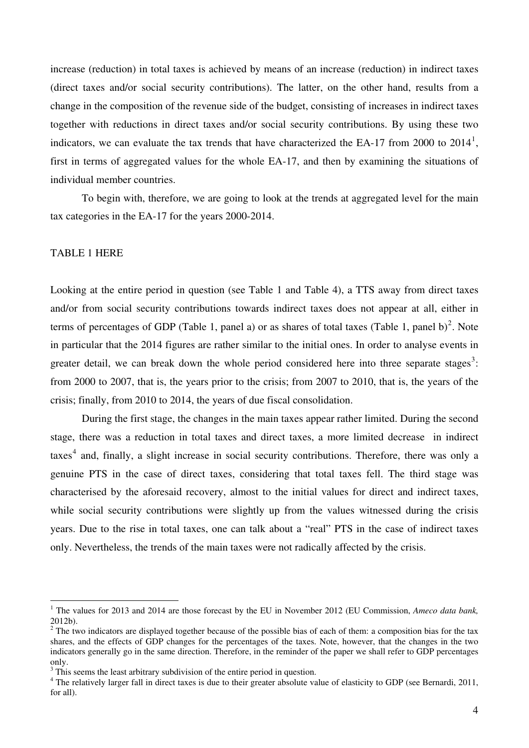increase (reduction) in total taxes is achieved by means of an increase (reduction) in indirect taxes (direct taxes and/or social security contributions). The latter, on the other hand, results from a change in the composition of the revenue side of the budget, consisting of increases in indirect taxes together with reductions in direct taxes and/or social security contributions. By using these two indicators, we can evaluate the tax trends that have characterized the EA-[1](#page-4-0)7 from 2000 to  $2014<sup>1</sup>$ , first in terms of aggregated values for the whole EA-17, and then by examining the situations of individual member countries.

 To begin with, therefore, we are going to look at the trends at aggregated level for the main tax categories in the EA-17 for the years 2000-2014.

### TABLE 1 HERE

 $\overline{a}$ 

Looking at the entire period in question (see Table 1 and Table 4), a TTS away from direct taxes and/or from social security contributions towards indirect taxes does not appear at all, either in terms of percentages of GDP (Table 1, panel a) or as shares of total taxes (Table 1, panel b)<sup>[2](#page-4-1)</sup>. Note in particular that the 2014 figures are rather similar to the initial ones. In order to analyse events in greater detail, we can break down the whole period considered here into three separate stages<sup>[3](#page-4-2)</sup>: from 2000 to 2007, that is, the years prior to the crisis; from 2007 to 2010, that is, the years of the crisis; finally, from 2010 to 2014, the years of due fiscal consolidation.

During the first stage, the changes in the main taxes appear rather limited. During the second stage, there was a reduction in total taxes and direct taxes, a more limited decrease in indirect taxes<sup>[4](#page-4-3)</sup> and, finally, a slight increase in social security contributions. Therefore, there was only a genuine PTS in the case of direct taxes, considering that total taxes fell. The third stage was characterised by the aforesaid recovery, almost to the initial values for direct and indirect taxes, while social security contributions were slightly up from the values witnessed during the crisis years. Due to the rise in total taxes, one can talk about a "real" PTS in the case of indirect taxes only. Nevertheless, the trends of the main taxes were not radically affected by the crisis.

<span id="page-4-0"></span><sup>&</sup>lt;sup>1</sup> The values for 2013 and 2014 are those forecast by the EU in November 2012 (EU Commission, *Ameco data bank*, 2012b).

<span id="page-4-1"></span> $2^2$  The two indicators are displayed together because of the possible bias of each of them: a composition bias for the tax shares, and the effects of GDP changes for the percentages of the taxes. Note, however, that the changes in the two indicators generally go in the same direction. Therefore, in the reminder of the paper we shall refer to GDP percentages only.

<span id="page-4-2"></span> $3$  This seems the least arbitrary subdivision of the entire period in question.

<span id="page-4-3"></span><sup>&</sup>lt;sup>4</sup> The relatively larger fall in direct taxes is due to their greater absolute value of elasticity to GDP (see Bernardi, 2011, for all).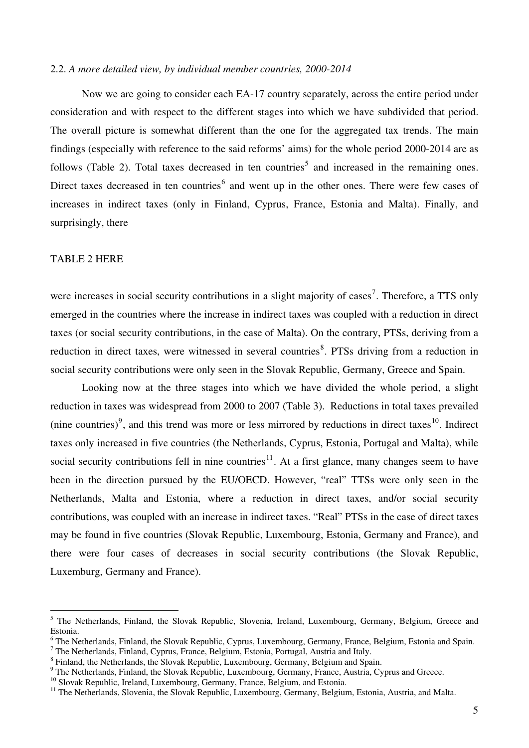#### 2.2. *A more detailed view, by individual member countries, 2000-2014*

 Now we are going to consider each EA-17 country separately, across the entire period under consideration and with respect to the different stages into which we have subdivided that period. The overall picture is somewhat different than the one for the aggregated tax trends. The main findings (especially with reference to the said reforms' aims) for the whole period 2000-2014 are as follows (Table 2). Total taxes decreased in ten countries<sup>[5](#page-5-0)</sup> and increased in the remaining ones. Direct taxes decreased in ten countries<sup>[6](#page-5-1)</sup> and went up in the other ones. There were few cases of increases in indirect taxes (only in Finland, Cyprus, France, Estonia and Malta). Finally, and surprisingly, there

#### TABLE 2 HERE

 $\overline{a}$ 

were increases in social security contributions in a slight majority of cases<sup>[7](#page-5-2)</sup>. Therefore, a TTS only emerged in the countries where the increase in indirect taxes was coupled with a reduction in direct taxes (or social security contributions, in the case of Malta). On the contrary, PTSs, deriving from a reduction in direct taxes, were witnessed in several countries<sup>[8](#page-5-3)</sup>. PTSs driving from a reduction in social security contributions were only seen in the Slovak Republic, Germany, Greece and Spain.

Looking now at the three stages into which we have divided the whole period, a slight reduction in taxes was widespread from 2000 to 2007 (Table 3). Reductions in total taxes prevailed (nine countries)<sup>[9](#page-5-4)</sup>, and this trend was more or less mirrored by reductions in direct taxes<sup>[10](#page-5-5)</sup>. Indirect taxes only increased in five countries (the Netherlands, Cyprus, Estonia, Portugal and Malta), while social security contributions fell in nine countries<sup>[11](#page-5-6)</sup>. At a first glance, many changes seem to have been in the direction pursued by the EU/OECD. However, "real" TTSs were only seen in the Netherlands, Malta and Estonia, where a reduction in direct taxes, and/or social security contributions, was coupled with an increase in indirect taxes. "Real" PTSs in the case of direct taxes may be found in five countries (Slovak Republic, Luxembourg, Estonia, Germany and France), and there were four cases of decreases in social security contributions (the Slovak Republic, Luxemburg, Germany and France).

<span id="page-5-0"></span><sup>&</sup>lt;sup>5</sup> The Netherlands, Finland, the Slovak Republic, Slovenia, Ireland, Luxembourg, Germany, Belgium, Greece and Estonia.

<span id="page-5-1"></span><sup>&</sup>lt;sup>6</sup> The Netherlands, Finland, the Slovak Republic, Cyprus, Luxembourg, Germany, France, Belgium, Estonia and Spain.

<span id="page-5-2"></span><sup>&</sup>lt;sup>7</sup> The Netherlands, Finland, Cyprus, France, Belgium, Estonia, Portugal, Austria and Italy.

<span id="page-5-3"></span><sup>&</sup>lt;sup>8</sup> Finland, the Netherlands, the Slovak Republic, Luxembourg, Germany, Belgium and Spain.

<span id="page-5-4"></span><sup>&</sup>lt;sup>9</sup> The Netherlands, Finland, the Slovak Republic, Luxembourg, Germany, France, Austria, Cyprus and Greece.

<span id="page-5-5"></span><sup>&</sup>lt;sup>10</sup> Slovak Republic, Ireland, Luxembourg, Germany, France, Belgium, and Estonia.

<span id="page-5-6"></span><sup>&</sup>lt;sup>11</sup> The Netherlands, Slovenia, the Slovak Republic, Luxembourg, Germany, Belgium, Estonia, Austria, and Malta.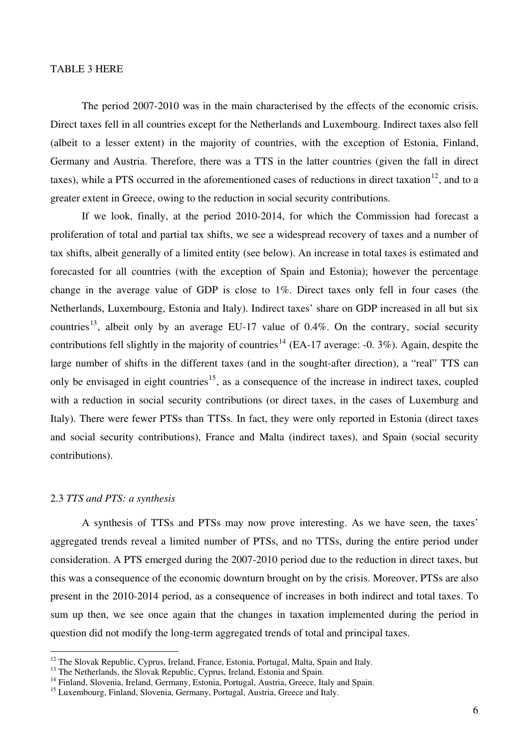#### TABLE 3 HERE

 The period 2007-2010 was in the main characterised by the effects of the economic crisis. Direct taxes fell in all countries except for the Netherlands and Luxembourg. Indirect taxes also fell (albeit to a lesser extent) in the majority of countries, with the exception of Estonia, Finland, Germany and Austria. Therefore, there was a TTS in the latter countries (given the fall in direct taxes), while a PTS occurred in the aforementioned cases of reductions in direct taxation<sup>[12](#page-6-0)</sup>, and to a greater extent in Greece, owing to the reduction in social security contributions.

 If we look, finally, at the period 2010-2014, for which the Commission had forecast a proliferation of total and partial tax shifts, we see a widespread recovery of taxes and a number of tax shifts, albeit generally of a limited entity (see below). An increase in total taxes is estimated and forecasted for all countries (with the exception of Spain and Estonia); however the percentage change in the average value of GDP is close to 1%. Direct taxes only fell in four cases (the Netherlands, Luxembourg, Estonia and Italy). Indirect taxes' share on GDP increased in all but six countries<sup>[13](#page-6-1)</sup>, albeit only by an average EU-17 value of 0.4%. On the contrary, social security contributions fell slightly in the majority of countries<sup>[14](#page-6-2)</sup> (EA-17 average: -0. 3%). Again, despite the large number of shifts in the different taxes (and in the sought-after direction), a "real" TTS can only be envisaged in eight countries<sup>[15](#page-6-3)</sup>, as a consequence of the increase in indirect taxes, coupled with a reduction in social security contributions (or direct taxes, in the cases of Luxemburg and Italy). There were fewer PTSs than TTSs. In fact, they were only reported in Estonia (direct taxes and social security contributions), France and Malta (indirect taxes), and Spain (social security contributions).

#### 2.3 *TTS and PTS: a synthesis*

 $\overline{a}$ 

A synthesis of TTSs and PTSs may now prove interesting. As we have seen, the taxes' aggregated trends reveal a limited number of PTSs, and no TTSs, during the entire period under consideration. A PTS emerged during the 2007-2010 period due to the reduction in direct taxes, but this was a consequence of the economic downturn brought on by the crisis. Moreover, PTSs are also present in the 2010-2014 period, as a consequence of increases in both indirect and total taxes. To sum up then, we see once again that the changes in taxation implemented during the period in question did not modify the long-term aggregated trends of total and principal taxes.

<span id="page-6-0"></span><sup>&</sup>lt;sup>12</sup> The Slovak Republic, Cyprus, Ireland, France, Estonia, Portugal, Malta, Spain and Italy.

<span id="page-6-1"></span><sup>&</sup>lt;sup>13</sup> The Netherlands, the Slovak Republic, Cyprus, Ireland, Estonia and Spain.

<span id="page-6-2"></span><sup>&</sup>lt;sup>14</sup> Finland, Slovenia, Ireland, Germany, Estonia, Portugal, Austria, Greece, Italy and Spain.

<span id="page-6-3"></span><sup>&</sup>lt;sup>15</sup> Luxembourg, Finland, Slovenia, Germany, Portugal, Austria, Greece and Italy.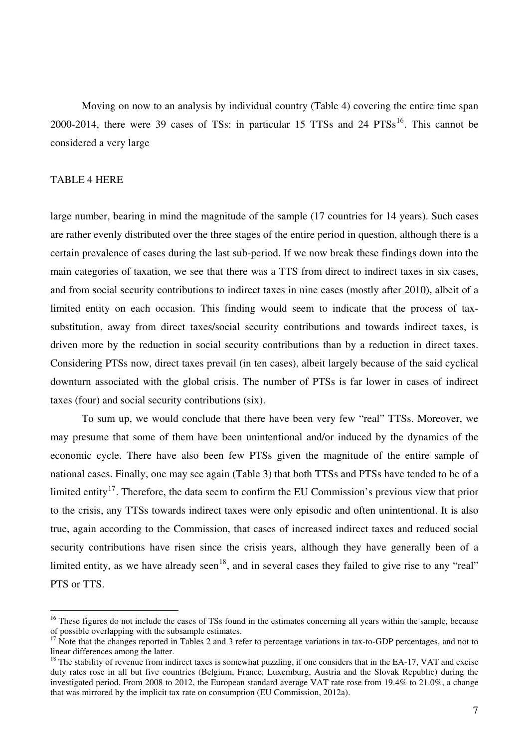Moving on now to an analysis by individual country (Table 4) covering the entire time span 2000-2014, there were 39 cases of TSs: in particular 15 TTSs and 24  $PTSS<sup>16</sup>$  $PTSS<sup>16</sup>$  $PTSS<sup>16</sup>$ . This cannot be considered a very large

#### TABLE 4 HERE

 $\overline{a}$ 

large number, bearing in mind the magnitude of the sample (17 countries for 14 years). Such cases are rather evenly distributed over the three stages of the entire period in question, although there is a certain prevalence of cases during the last sub-period. If we now break these findings down into the main categories of taxation, we see that there was a TTS from direct to indirect taxes in six cases, and from social security contributions to indirect taxes in nine cases (mostly after 2010), albeit of a limited entity on each occasion. This finding would seem to indicate that the process of taxsubstitution, away from direct taxes/social security contributions and towards indirect taxes, is driven more by the reduction in social security contributions than by a reduction in direct taxes. Considering PTSs now, direct taxes prevail (in ten cases), albeit largely because of the said cyclical downturn associated with the global crisis. The number of PTSs is far lower in cases of indirect taxes (four) and social security contributions (six).

To sum up, we would conclude that there have been very few "real" TTSs. Moreover, we may presume that some of them have been unintentional and/or induced by the dynamics of the economic cycle. There have also been few PTSs given the magnitude of the entire sample of national cases. Finally, one may see again (Table 3) that both TTSs and PTSs have tended to be of a limited entity<sup>[17](#page-7-1)</sup>. Therefore, the data seem to confirm the EU Commission's previous view that prior to the crisis, any TTSs towards indirect taxes were only episodic and often unintentional. It is also true, again according to the Commission, that cases of increased indirect taxes and reduced social security contributions have risen since the crisis years, although they have generally been of a limited entity, as we have already seen<sup>[18](#page-7-2)</sup>, and in several cases they failed to give rise to any "real" PTS or TTS.

<span id="page-7-0"></span> $16$  These figures do not include the cases of TSs found in the estimates concerning all years within the sample, because of possible overlapping with the subsample estimates.

<span id="page-7-1"></span><sup>&</sup>lt;sup>17</sup> Note that the changes reported in Tables 2 and 3 refer to percentage variations in tax-to-GDP percentages, and not to linear differences among the latter.

<span id="page-7-2"></span> $18$  The stability of revenue from indirect taxes is somewhat puzzling, if one considers that in the EA-17, VAT and excise duty rates rose in all but five countries (Belgium, France, Luxemburg, Austria and the Slovak Republic) during the investigated period. From 2008 to 2012, the European standard average VAT rate rose from 19.4% to 21.0%, a change that was mirrored by the implicit tax rate on consumption (EU Commission, 2012a).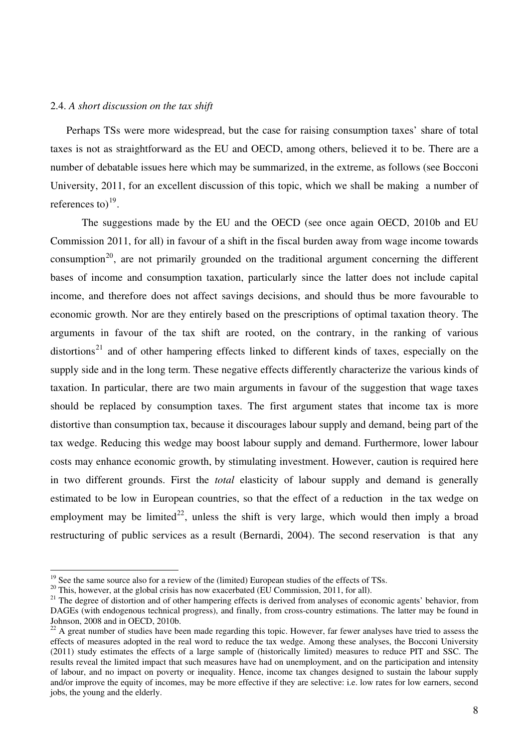#### 2.4. *A short discussion on the tax shift*

Perhaps TSs were more widespread, but the case for raising consumption taxes' share of total taxes is not as straightforward as the EU and OECD, among others, believed it to be. There are a number of debatable issues here which may be summarized, in the extreme, as follows (see Bocconi University, 2011, for an excellent discussion of this topic, which we shall be making a number of references to) $^{19}$  $^{19}$  $^{19}$ .

 The suggestions made by the EU and the OECD (see once again OECD, 2010b and EU Commission 2011, for all) in favour of a shift in the fiscal burden away from wage income towards consumption<sup>[20](#page-8-1)</sup>, are not primarily grounded on the traditional argument concerning the different bases of income and consumption taxation, particularly since the latter does not include capital income, and therefore does not affect savings decisions, and should thus be more favourable to economic growth. Nor are they entirely based on the prescriptions of optimal taxation theory. The arguments in favour of the tax shift are rooted, on the contrary, in the ranking of various distortions<sup>[21](#page-8-2)</sup> and of other hampering effects linked to different kinds of taxes, especially on the supply side and in the long term. These negative effects differently characterize the various kinds of taxation. In particular, there are two main arguments in favour of the suggestion that wage taxes should be replaced by consumption taxes. The first argument states that income tax is more distortive than consumption tax, because it discourages labour supply and demand, being part of the tax wedge. Reducing this wedge may boost labour supply and demand. Furthermore, lower labour costs may enhance economic growth, by stimulating investment. However, caution is required here in two different grounds. First the *total* elasticity of labour supply and demand is generally estimated to be low in European countries, so that the effect of a reduction in the tax wedge on employment may be limited<sup>[22](#page-8-3)</sup>, unless the shift is very large, which would then imply a broad restructuring of public services as a result (Bernardi, 2004). The second reservation is that any

 $\overline{a}$ 

<span id="page-8-0"></span> $19$  See the same source also for a review of the (limited) European studies of the effects of TSs.

<span id="page-8-1"></span> $20$  This, however, at the global crisis has now exacerbated (EU Commission, 2011, for all).

<span id="page-8-2"></span><sup>&</sup>lt;sup>21</sup> The degree of distortion and of other hampering effects is derived from analyses of economic agents' behavior, from DAGEs (with endogenous technical progress), and finally, from cross-country estimations. The latter may be found in Johnson, 2008 and in OECD, 2010b.

<span id="page-8-3"></span><sup>&</sup>lt;sup>22</sup> A great number of studies have been made regarding this topic. However, far fewer analyses have tried to assess the effects of measures adopted in the real word to reduce the tax wedge. Among these analyses, the Bocconi University (2011) study estimates the effects of a large sample of (historically limited) measures to reduce PIT and SSC. The results reveal the limited impact that such measures have had on unemployment, and on the participation and intensity of labour, and no impact on poverty or inequality. Hence, income tax changes designed to sustain the labour supply and/or improve the equity of incomes, may be more effective if they are selective: i.e. low rates for low earners, second jobs, the young and the elderly.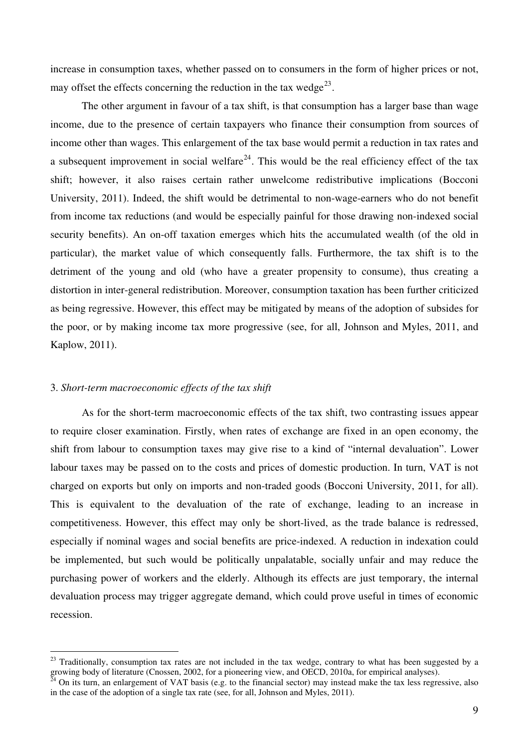increase in consumption taxes, whether passed on to consumers in the form of higher prices or not, may offset the effects concerning the reduction in the tax wedge<sup>[23](#page-9-0)</sup>.

 The other argument in favour of a tax shift, is that consumption has a larger base than wage income, due to the presence of certain taxpayers who finance their consumption from sources of income other than wages. This enlargement of the tax base would permit a reduction in tax rates and a subsequent improvement in social welfare<sup>[24](#page-9-1)</sup>. This would be the real efficiency effect of the tax shift; however, it also raises certain rather unwelcome redistributive implications (Bocconi University, 2011). Indeed, the shift would be detrimental to non-wage-earners who do not benefit from income tax reductions (and would be especially painful for those drawing non-indexed social security benefits). An on-off taxation emerges which hits the accumulated wealth (of the old in particular), the market value of which consequently falls. Furthermore, the tax shift is to the detriment of the young and old (who have a greater propensity to consume), thus creating a distortion in inter-general redistribution. Moreover, consumption taxation has been further criticized as being regressive. However, this effect may be mitigated by means of the adoption of subsides for the poor, or by making income tax more progressive (see, for all, Johnson and Myles, 2011, and Kaplow, 2011).

#### 3. *Short-term macroeconomic effects of the tax shift*

 $\overline{a}$ 

As for the short-term macroeconomic effects of the tax shift, two contrasting issues appear to require closer examination. Firstly, when rates of exchange are fixed in an open economy, the shift from labour to consumption taxes may give rise to a kind of "internal devaluation". Lower labour taxes may be passed on to the costs and prices of domestic production. In turn, VAT is not charged on exports but only on imports and non-traded goods (Bocconi University, 2011, for all). This is equivalent to the devaluation of the rate of exchange, leading to an increase in competitiveness. However, this effect may only be short-lived, as the trade balance is redressed, especially if nominal wages and social benefits are price-indexed. A reduction in indexation could be implemented, but such would be politically unpalatable, socially unfair and may reduce the purchasing power of workers and the elderly. Although its effects are just temporary, the internal devaluation process may trigger aggregate demand, which could prove useful in times of economic recession.

<span id="page-9-0"></span> $23$  Traditionally, consumption tax rates are not included in the tax wedge, contrary to what has been suggested by a growing body of literature (Cnossen, 2002, for a pioneering view, and OECD, 2010a, for empirical analyses).

<span id="page-9-1"></span> $^{\bar{2}4}$  On its turn, an enlargement of VAT basis (e.g. to the financial sector) may instead make the tax less regressive, also in the case of the adoption of a single tax rate (see, for all, Johnson and Myles, 2011).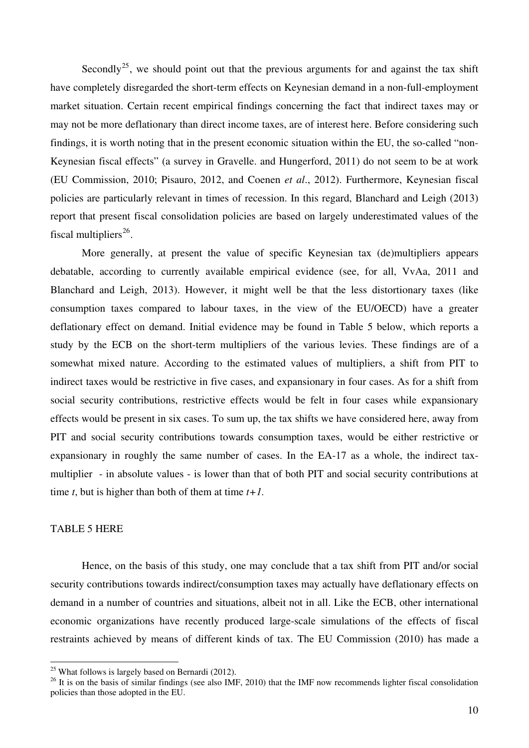Secondly<sup>[25](#page-10-0)</sup>, we should point out that the previous arguments for and against the tax shift have completely disregarded the short-term effects on Keynesian demand in a non-full-employment market situation. Certain recent empirical findings concerning the fact that indirect taxes may or may not be more deflationary than direct income taxes, are of interest here. Before considering such findings, it is worth noting that in the present economic situation within the EU, the so-called "non-Keynesian fiscal effects" (a survey in Gravelle. and Hungerford, 2011) do not seem to be at work (EU Commission, 2010; Pisauro, 2012, and Coenen *et al*., 2012). Furthermore, Keynesian fiscal policies are particularly relevant in times of recession. In this regard, Blanchard and Leigh (2013) report that present fiscal consolidation policies are based on largely underestimated values of the fiscal multipliers $^{26}$  $^{26}$  $^{26}$ .

 More generally, at present the value of specific Keynesian tax (de)multipliers appears debatable, according to currently available empirical evidence (see, for all, VvAa, 2011 and Blanchard and Leigh, 2013). However, it might well be that the less distortionary taxes (like consumption taxes compared to labour taxes, in the view of the EU/OECD) have a greater deflationary effect on demand. Initial evidence may be found in Table 5 below, which reports a study by the ECB on the short-term multipliers of the various levies. These findings are of a somewhat mixed nature. According to the estimated values of multipliers, a shift from PIT to indirect taxes would be restrictive in five cases, and expansionary in four cases. As for a shift from social security contributions, restrictive effects would be felt in four cases while expansionary effects would be present in six cases. To sum up, the tax shifts we have considered here, away from PIT and social security contributions towards consumption taxes, would be either restrictive or expansionary in roughly the same number of cases. In the EA-17 as a whole, the indirect taxmultiplier - in absolute values - is lower than that of both PIT and social security contributions at time *t*, but is higher than both of them at time *t+1.*

#### TABLE 5 HERE

 $\overline{a}$ 

Hence, on the basis of this study, one may conclude that a tax shift from PIT and/or social security contributions towards indirect/consumption taxes may actually have deflationary effects on demand in a number of countries and situations, albeit not in all. Like the ECB, other international economic organizations have recently produced large-scale simulations of the effects of fiscal restraints achieved by means of different kinds of tax. The EU Commission (2010) has made a

<span id="page-10-0"></span> $25$  What follows is largely based on Bernardi (2012).

<span id="page-10-1"></span> $26$  It is on the basis of similar findings (see also IMF, 2010) that the IMF now recommends lighter fiscal consolidation policies than those adopted in the EU.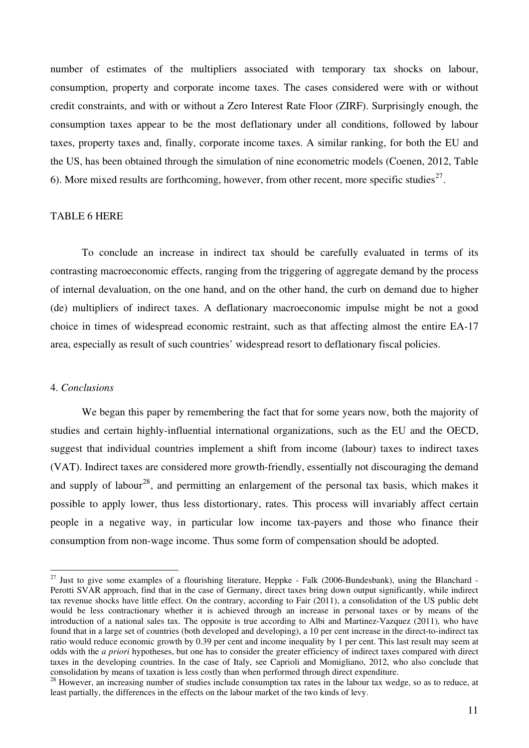number of estimates of the multipliers associated with temporary tax shocks on labour, consumption, property and corporate income taxes. The cases considered were with or without credit constraints, and with or without a Zero Interest Rate Floor (ZIRF). Surprisingly enough, the consumption taxes appear to be the most deflationary under all conditions, followed by labour taxes, property taxes and, finally, corporate income taxes. A similar ranking, for both the EU and the US, has been obtained through the simulation of nine econometric models (Coenen, 2012, Table 6). More mixed results are forthcoming, however, from other recent, more specific studies<sup>[27](#page-11-0)</sup>.

#### TABLE 6 HERE

To conclude an increase in indirect tax should be carefully evaluated in terms of its contrasting macroeconomic effects, ranging from the triggering of aggregate demand by the process of internal devaluation, on the one hand, and on the other hand, the curb on demand due to higher (de) multipliers of indirect taxes. A deflationary macroeconomic impulse might be not a good choice in times of widespread economic restraint, such as that affecting almost the entire EA-17 area, especially as result of such countries' widespread resort to deflationary fiscal policies.

#### 4. *Conclusions*

 $\overline{a}$ 

 We began this paper by remembering the fact that for some years now, both the majority of studies and certain highly-influential international organizations, such as the EU and the OECD, suggest that individual countries implement a shift from income (labour) taxes to indirect taxes (VAT). Indirect taxes are considered more growth-friendly, essentially not discouraging the demand and supply of labour<sup>[28](#page-11-1)</sup>, and permitting an enlargement of the personal tax basis, which makes it possible to apply lower, thus less distortionary, rates. This process will invariably affect certain people in a negative way, in particular low income tax-payers and those who finance their consumption from non-wage income. Thus some form of compensation should be adopted.

<span id="page-11-0"></span> $^{27}$  Just to give some examples of a flourishing literature, Heppke - Falk (2006-Bundesbank), using the Blanchard -Perotti SVAR approach, find that in the case of Germany, direct taxes bring down output significantly, while indirect tax revenue shocks have little effect. On the contrary, according to Fair (2011), a consolidation of the US public debt would be less contractionary whether it is achieved through an increase in personal taxes or by means of the introduction of a national sales tax. The opposite is true according to Albi and Martinez-Vazquez (2011), who have found that in a large set of countries (both developed and developing), a 10 per cent increase in the direct-to-indirect tax ratio would reduce economic growth by 0.39 per cent and income inequality by 1 per cent. This last result may seem at odds with the *a priori* hypotheses, but one has to consider the greater efficiency of indirect taxes compared with direct taxes in the developing countries. In the case of Italy, see Caprioli and Momigliano, 2012, who also conclude that consolidation by means of taxation is less costly than when performed through direct expenditure.

<span id="page-11-1"></span><sup>&</sup>lt;sup>28</sup> However, an increasing number of studies include consumption tax rates in the labour tax wedge, so as to reduce, at least partially, the differences in the effects on the labour market of the two kinds of levy.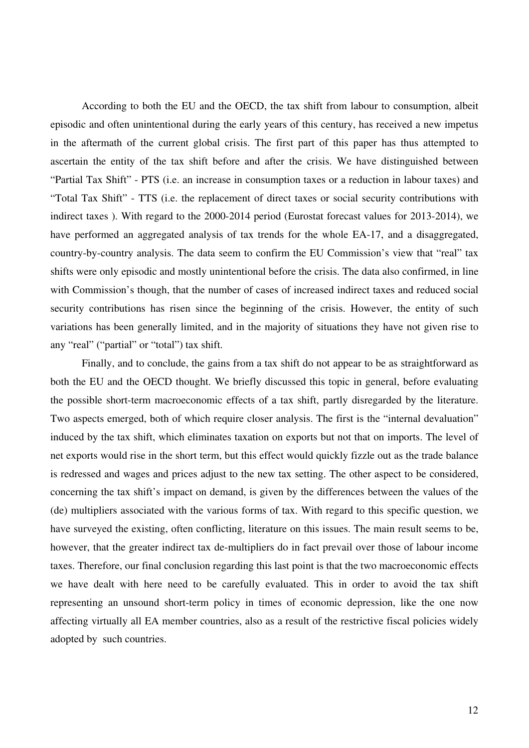According to both the EU and the OECD, the tax shift from labour to consumption, albeit episodic and often unintentional during the early years of this century, has received a new impetus in the aftermath of the current global crisis. The first part of this paper has thus attempted to ascertain the entity of the tax shift before and after the crisis. We have distinguished between "Partial Tax Shift" - PTS (i.e. an increase in consumption taxes or a reduction in labour taxes) and "Total Tax Shift" - TTS (i.e. the replacement of direct taxes or social security contributions with indirect taxes ). With regard to the 2000-2014 period (Eurostat forecast values for 2013-2014), we have performed an aggregated analysis of tax trends for the whole EA-17, and a disaggregated, country-by-country analysis. The data seem to confirm the EU Commission's view that "real" tax shifts were only episodic and mostly unintentional before the crisis. The data also confirmed, in line with Commission's though, that the number of cases of increased indirect taxes and reduced social security contributions has risen since the beginning of the crisis. However, the entity of such variations has been generally limited, and in the majority of situations they have not given rise to any "real" ("partial" or "total") tax shift.

 Finally, and to conclude, the gains from a tax shift do not appear to be as straightforward as both the EU and the OECD thought. We briefly discussed this topic in general, before evaluating the possible short-term macroeconomic effects of a tax shift, partly disregarded by the literature. Two aspects emerged, both of which require closer analysis. The first is the "internal devaluation" induced by the tax shift, which eliminates taxation on exports but not that on imports. The level of net exports would rise in the short term, but this effect would quickly fizzle out as the trade balance is redressed and wages and prices adjust to the new tax setting. The other aspect to be considered, concerning the tax shift's impact on demand, is given by the differences between the values of the (de) multipliers associated with the various forms of tax. With regard to this specific question, we have surveyed the existing, often conflicting, literature on this issues. The main result seems to be, however, that the greater indirect tax de-multipliers do in fact prevail over those of labour income taxes. Therefore, our final conclusion regarding this last point is that the two macroeconomic effects we have dealt with here need to be carefully evaluated. This in order to avoid the tax shift representing an unsound short-term policy in times of economic depression, like the one now affecting virtually all EA member countries, also as a result of the restrictive fiscal policies widely adopted by such countries.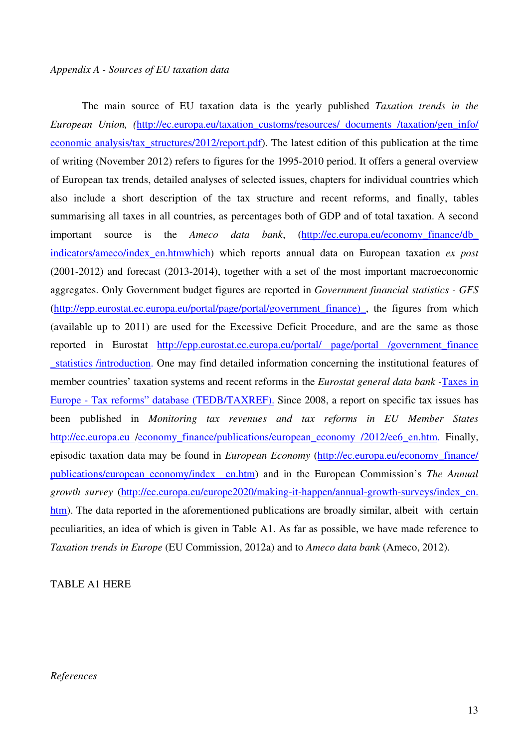#### *Appendix A - Sources of EU taxation data*

 The main source of EU taxation data is the yearly published *Taxation trends in the European Union, (*[http://ec.europa.eu/taxation\\_customs/resources/ documents /taxation/gen\\_info/](http://ec.europa.eu/taxation_customs/resources/%20documents%20/taxation/gen_info/%20economic%20analysis/tax_structures/2012/report.pdf)  [economic analysis/tax\\_structures/2012/report.pdf\)](http://ec.europa.eu/taxation_customs/resources/%20documents%20/taxation/gen_info/%20economic%20analysis/tax_structures/2012/report.pdf). The latest edition of this publication at the time of writing (November 2012) refers to figures for the 1995-2010 period. It offers a general overview of European tax trends, detailed analyses of selected issues, chapters for individual countries which also include a short description of the tax structure and recent reforms, and finally, tables summarising all taxes in all countries, as percentages both of GDP and of total taxation. A second important source is the *Ameco data bank*, [\(http://ec.europa.eu/economy\\_finance/db\\_](http://ec.europa.eu/economy_finance/db_%20indicators/ameco/index_en.htmwhich)  [indicators/ameco/index\\_en.htmwhich](http://ec.europa.eu/economy_finance/db_%20indicators/ameco/index_en.htmwhich)) which reports annual data on European taxation *ex post* (2001-2012) and forecast (2013-2014), together with a set of the most important macroeconomic aggregates. Only Government budget figures are reported in *Government financial statistics - GFS*  ([http://epp.eurostat.ec.europa.eu/portal/page/portal/government\\_finance\)\\_,](http://epp.eurostat.ec.europa.eu/portal/page/portal/government_finance)_) the figures from which (available up to 2011) are used for the Excessive Deficit Procedure, and are the same as those reported in Eurostat [http://epp.eurostat.ec.europa.eu/portal/ page/portal /government\\_finance](http://epp.eurostat.ec.europa.eu/portal/%20page/portal%20/government_finance%20_statistics)  [\\_statistics](http://epp.eurostat.ec.europa.eu/portal/%20page/portal%20/government_finance%20_statistics) /introduction. One may find detailed information concerning the institutional features of member countries' taxation systems and recent reforms in the *Eurostat general data bank -*Taxes in Europe - Tax reforms" database (TEDB/TAXREF). Since 2008, a report on specific tax issues has been published in *Monitoring tax revenues and tax reforms in EU Member States* http://ec.europa.eu /economy\_finance/publications/european\_economy /2012/ee6\_en.htm. Finally, episodic taxation data may be found in *European Economy* [\(http://ec.europa.eu/economy\\_finance/](http://ec.europa.eu/economy_finance/%20publications/european_economy/index%20_en.htm)  [publications/european\\_economy/index \\_en.htm](http://ec.europa.eu/economy_finance/%20publications/european_economy/index%20_en.htm)) and in the European Commission's *The Annual growth survey* [\(http://ec.europa.eu/europe2020/making-it-happen/annual-growth-surveys/index\\_en.](http://ec.europa.eu/europe2020/making-it-happen/annual-growth-surveys/index_en.%20htm) [htm](http://ec.europa.eu/europe2020/making-it-happen/annual-growth-surveys/index_en.%20htm)). The data reported in the aforementioned publications are broadly similar, albeit with certain peculiarities, an idea of which is given in Table A1. As far as possible, we have made reference to *Taxation trends in Europe* (EU Commission, 2012a) and to *Ameco data bank* (Ameco, 2012).

#### TABLE A1 HERE

#### *References*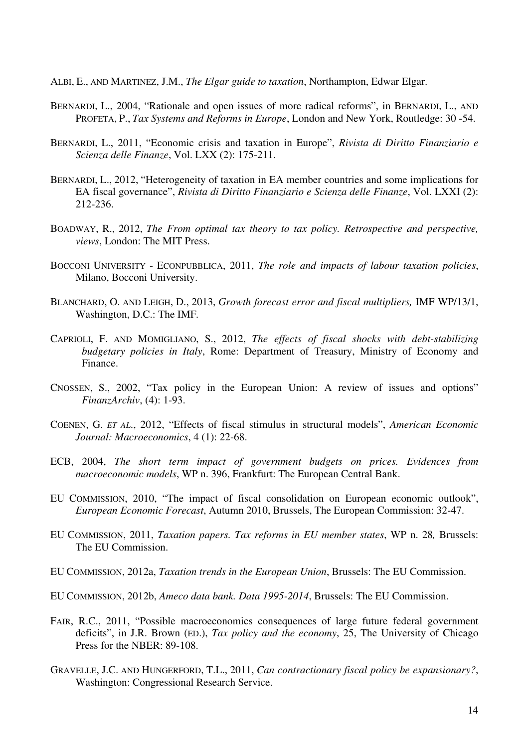ALBI, E., AND MARTINEZ, J.M., *The Elgar guide to taxation*, Northampton, Edwar Elgar.

- BERNARDI, L., 2004, "Rationale and open issues of more radical reforms", in BERNARDI, L., AND PROFETA, P., *Tax Systems and Reforms in Europe*, London and New York, Routledge: 30 -54.
- BERNARDI, L., 2011, "Economic crisis and taxation in Europe", *Rivista di Diritto Finanziario e Scienza delle Finanze*, Vol. LXX (2): 175-211.
- BERNARDI, L., 2012, "Heterogeneity of taxation in EA member countries and some implications for EA fiscal governance", *Rivista di Diritto Finanziario e Scienza delle Finanze*, Vol. LXXI (2): 212-236.
- BOADWAY, R., 2012, *The From optimal tax theory to tax policy. Retrospective and perspective, views*, London: The MIT Press.
- BOCCONI UNIVERSITY ECONPUBBLICA, 2011, *The role and impacts of labour taxation policies*, Milano, Bocconi University.
- BLANCHARD, O. AND LEIGH, D., 2013, *Growth forecast error and fiscal multipliers,* IMF WP/13/1, Washington, D.C.: The IMF*.*
- CAPRIOLI, F. AND MOMIGLIANO, S., 2012, *The effects of fiscal shocks with debt-stabilizing budgetary policies in Italy*, Rome: Department of Treasury, Ministry of Economy and Finance.
- CNOSSEN, S., 2002, "Tax policy in the European Union: A review of issues and options" *FinanzArchiv*, (4): 1-93.
- COENEN, G. *ET AL*., 2012, "Effects of fiscal stimulus in structural models", *American Economic Journal: Macroeconomics*, 4 (1): 22-68.
- ECB, 2004, *The short term impact of government budgets on prices. Evidences from macroeconomic models*, WP n. 396, Frankfurt: The European Central Bank.
- EU COMMISSION, 2010, "The impact of fiscal consolidation on European economic outlook", *European Economic Forecast*, Autumn 2010, Brussels, The European Commission: 32-47.
- EU COMMISSION, 2011, *Taxation papers. Tax reforms in EU member states*, WP n. 28*,* Brussels: The EU Commission.
- EU COMMISSION, 2012a, *Taxation trends in the European Union*, Brussels: The EU Commission.
- EU COMMISSION, 2012b, *Ameco data bank. Data 1995-2014*, Brussels: The EU Commission.
- FAIR, R.C., 2011, "Possible macroeconomics consequences of large future federal government deficits", in J.R. Brown (ED.), *Tax policy and the economy*, 25, The University of Chicago Press for the NBER: 89-108.
- GRAVELLE, J.C. AND HUNGERFORD, T.L., 2011, *Can contractionary fiscal policy be expansionary?*, Washington: Congressional Research Service.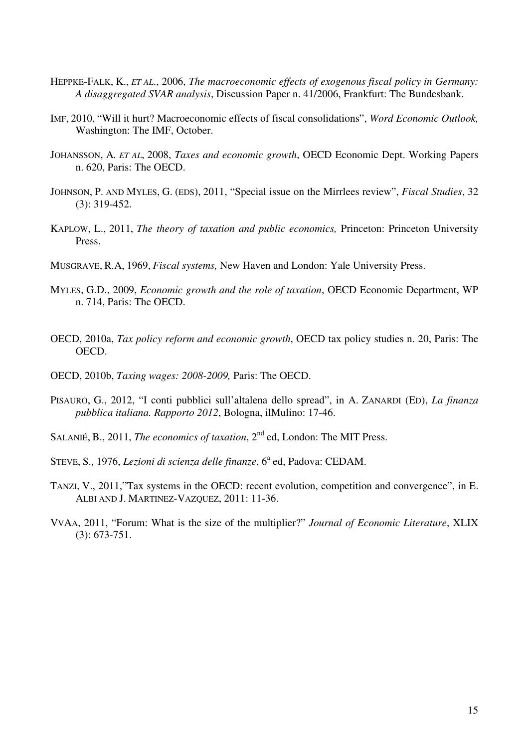- HEPPKE-FALK, K., *ET AL*., 2006, *The macroeconomic effects of exogenous fiscal policy in Germany: A disaggregated SVAR analysis*, Discussion Paper n. 41/2006, Frankfurt: The Bundesbank.
- IMF, 2010, "Will it hurt? Macroeconomic effects of fiscal consolidations", *Word Economic Outlook,* Washington: The IMF, October.
- JOHANSSON, A*. ET AL*, 2008, *Taxes and economic growth*, OECD Economic Dept. Working Papers n. 620, Paris: The OECD.
- JOHNSON, P. AND MYLES, G. (EDS), 2011, "Special issue on the Mirrlees review", *Fiscal Studies*, 32 (3): 319-452.
- KAPLOW, L., 2011, *The theory of taxation and public economics,* Princeton: Princeton University Press.
- MUSGRAVE, R.A, 1969, *Fiscal systems,* New Haven and London: Yale University Press.
- MYLES, G.D., 2009, *Economic growth and the role of taxation*, OECD Economic Department, WP n. 714, Paris: The OECD.
- OECD, 2010a, *Tax policy reform and economic growth*, OECD tax policy studies n. 20, Paris: The OECD.
- OECD, 2010b, *Taxing wages: 2008-2009,* Paris: The OECD.
- PISAURO, G., 2012, "I conti pubblici sull'altalena dello spread", in A. ZANARDI (ED), *La finanza pubblica italiana. Rapporto 2012*, Bologna, ilMulino: 17-46.
- SALANIÉ, B., 2011, *The economics of taxation*, 2<sup>nd</sup> ed. London: The MIT Press.
- STEVE, S., 1976, *Lezioni di scienza delle finanze*, 6<sup>a</sup> ed, Padova: CEDAM.
- TANZI, V., 2011,"Tax systems in the OECD: recent evolution, competition and convergence", in E. ALBI AND J. MARTINEZ-VAZQUEZ, 2011: 11-36.
- VVAA, 2011, "Forum: What is the size of the multiplier?" *Journal of Economic Literature*, XLIX (3): 673-751.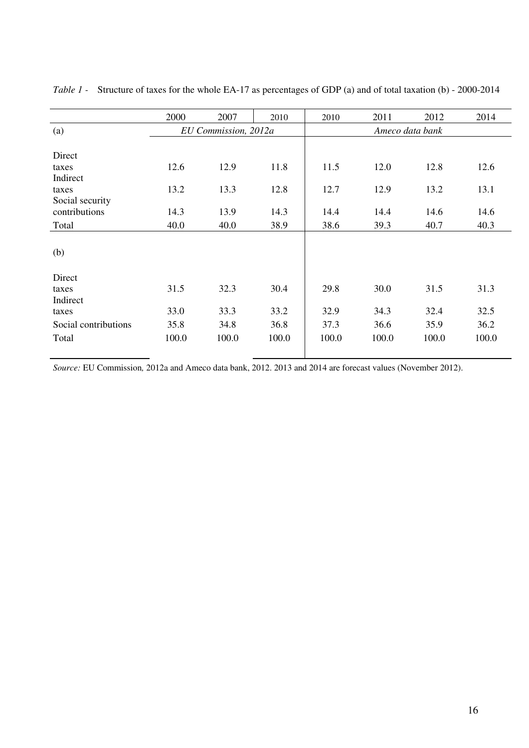|                      | 2000  | 2007                 | 2010  | 2010  | 2011  | 2012            | 2014  |
|----------------------|-------|----------------------|-------|-------|-------|-----------------|-------|
|                      |       |                      |       |       |       |                 |       |
| (a)                  |       | EU Commission, 2012a |       |       |       | Ameco data bank |       |
|                      |       |                      |       |       |       |                 |       |
| Direct               |       |                      |       |       |       |                 |       |
| taxes                | 12.6  | 12.9                 | 11.8  | 11.5  | 12.0  | 12.8            | 12.6  |
| Indirect             |       |                      |       |       |       |                 |       |
| taxes                | 13.2  | 13.3                 | 12.8  | 12.7  | 12.9  | 13.2            | 13.1  |
| Social security      |       |                      |       |       |       |                 |       |
| contributions        | 14.3  | 13.9                 | 14.3  | 14.4  | 14.4  | 14.6            | 14.6  |
| Total                | 40.0  | 40.0                 | 38.9  | 38.6  | 39.3  | 40.7            | 40.3  |
|                      |       |                      |       |       |       |                 |       |
| (b)                  |       |                      |       |       |       |                 |       |
|                      |       |                      |       |       |       |                 |       |
| Direct               |       |                      |       |       |       |                 |       |
| taxes                | 31.5  | 32.3                 | 30.4  | 29.8  | 30.0  | 31.5            | 31.3  |
| Indirect             |       |                      |       |       |       |                 |       |
| taxes                | 33.0  | 33.3                 | 33.2  | 32.9  | 34.3  | 32.4            | 32.5  |
| Social contributions | 35.8  | 34.8                 | 36.8  | 37.3  | 36.6  | 35.9            | 36.2  |
| Total                | 100.0 | 100.0                | 100.0 | 100.0 | 100.0 | 100.0           | 100.0 |
|                      |       |                      |       |       |       |                 |       |

*Table 1 -* Structure of taxes for the whole EA-17 as percentages of GDP (a) and of total taxation (b) - 2000-2014

*Source:* EU Commission*,* 2012a and Ameco data bank, 2012. 2013 and 2014 are forecast values (November 2012).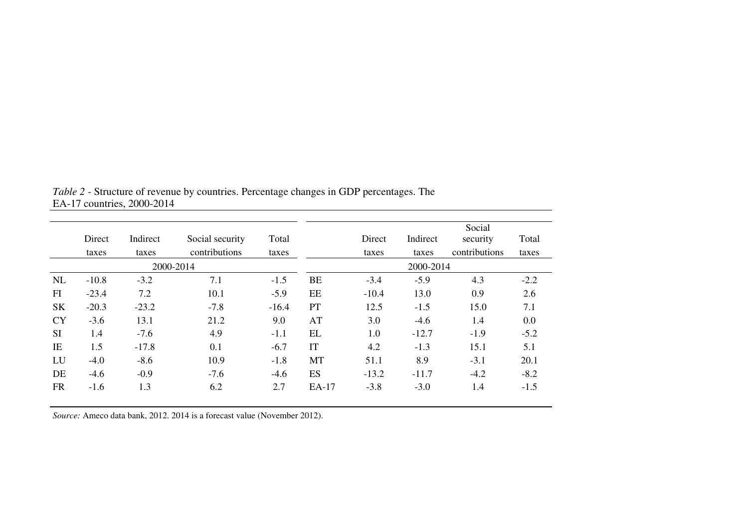|           |         |          |                 |         |           |         |           | Social        |        |
|-----------|---------|----------|-----------------|---------|-----------|---------|-----------|---------------|--------|
|           | Direct  | Indirect | Social security | Total   |           | Direct  | Indirect  | security      | Total  |
|           | taxes   | taxes    | contributions   | taxes   |           | taxes   | taxes     | contributions | taxes  |
|           |         |          | 2000-2014       |         |           |         | 2000-2014 |               |        |
| NL        | $-10.8$ | $-3.2$   | 7.1             | $-1.5$  | <b>BE</b> | $-3.4$  | $-5.9$    | 4.3           | $-2.2$ |
| FI        | $-23.4$ | 7.2      | 10.1            | $-5.9$  | EE        | $-10.4$ | 13.0      | 0.9           | 2.6    |
| <b>SK</b> | $-20.3$ | $-23.2$  | $-7.8$          | $-16.4$ | <b>PT</b> | 12.5    | $-1.5$    | 15.0          | 7.1    |
| <b>CY</b> | $-3.6$  | 13.1     | 21.2            | 9.0     | AT        | 3.0     | $-4.6$    | 1.4           | 0.0    |
| <b>SI</b> | 1.4     | $-7.6$   | 4.9             | $-1.1$  | EL        | 1.0     | $-12.7$   | $-1.9$        | $-5.2$ |
| IE        | 1.5     | $-17.8$  | 0.1             | $-6.7$  | IT        | 4.2     | $-1.3$    | 15.1          | 5.1    |
| LU        | $-4.0$  | $-8.6$   | 10.9            | $-1.8$  | MT        | 51.1    | 8.9       | $-3.1$        | 20.1   |
| DE        | $-4.6$  | $-0.9$   | $-7.6$          | $-4.6$  | <b>ES</b> | $-13.2$ | $-11.7$   | $-4.2$        | $-8.2$ |
| <b>FR</b> | $-1.6$  | 1.3      | 6.2             | 2.7     | EA-17     | $-3.8$  | $-3.0$    | 1.4           | $-1.5$ |
|           |         |          |                 |         |           |         |           |               |        |

*Table 2 -* Structure of revenue by countries. Percentage changes in GDP percentages. The EA-17 countries, 2000-2014

*Source:* Ameco data bank, 2012. 2014 is a forecast value (November 2012).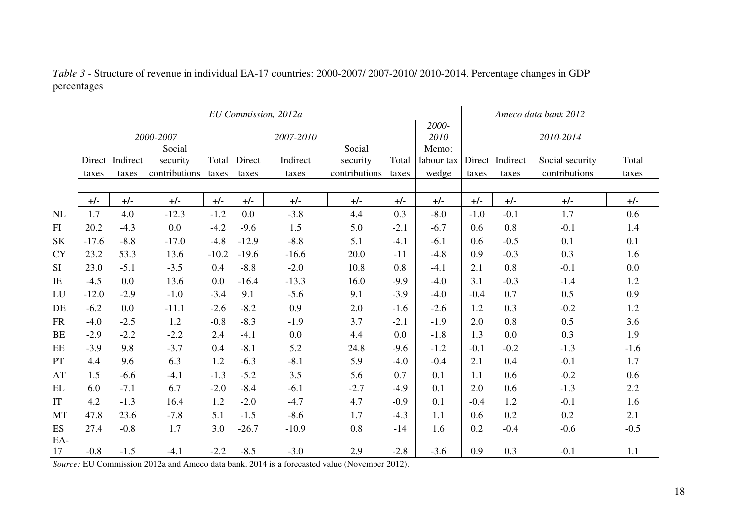|           | EU Commission, 2012a |                 |               |         |         |           |               |        |               | Ameco data bank 2012 |                 |                 |        |
|-----------|----------------------|-----------------|---------------|---------|---------|-----------|---------------|--------|---------------|----------------------|-----------------|-----------------|--------|
|           |                      |                 | 2000-2007     |         |         | 2007-2010 |               |        | 2000-<br>2010 |                      |                 | 2010-2014       |        |
|           |                      |                 | Social        |         |         |           | Social        |        | Memo:         |                      |                 |                 |        |
|           |                      | Direct Indirect | security      | Total   | Direct  | Indirect  | security      | Total  | labour tax    |                      | Direct Indirect | Social security | Total  |
|           | taxes                | taxes           | contributions | taxes   | taxes   | taxes     | contributions | taxes  | wedge         | taxes                | taxes           | contributions   | taxes  |
|           |                      |                 |               |         |         |           |               |        |               |                      |                 |                 |        |
|           | $+/-$                | $+/-$           | $+/-$         | $+/-$   | $+/-$   | $+/-$     | $+/-$         | $+/-$  | $+/-$         | $+/-$                | $+/-$           | $+/-$           | $+/-$  |
| <b>NL</b> | 1.7                  | 4.0             | $-12.3$       | $-1.2$  | 0.0     | $-3.8$    | 4.4           | 0.3    | $-8.0$        | $-1.0$               | $-0.1$          | 1.7             | 0.6    |
| FI        | 20.2                 | $-4.3$          | 0.0           | $-4.2$  | $-9.6$  | 1.5       | 5.0           | $-2.1$ | $-6.7$        | 0.6                  | 0.8             | $-0.1$          | 1.4    |
| <b>SK</b> | $-17.6$              | $-8.8$          | $-17.0$       | $-4.8$  | $-12.9$ | $-8.8$    | 5.1           | $-4.1$ | $-6.1$        | 0.6                  | $-0.5$          | 0.1             | 0.1    |
| <b>CY</b> | 23.2                 | 53.3            | 13.6          | $-10.2$ | $-19.6$ | $-16.6$   | 20.0          | $-11$  | $-4.8$        | 0.9                  | $-0.3$          | 0.3             | 1.6    |
| <b>SI</b> | 23.0                 | $-5.1$          | $-3.5$        | 0.4     | $-8.8$  | $-2.0$    | 10.8          | 0.8    | $-4.1$        | 2.1                  | 0.8             | $-0.1$          | 0.0    |
| IE        | $-4.5$               | 0.0             | 13.6          | 0.0     | $-16.4$ | $-13.3$   | 16.0          | $-9.9$ | $-4.0$        | 3.1                  | $-0.3$          | $-1.4$          | 1.2    |
| LU        | $-12.0$              | $-2.9$          | $-1.0$        | $-3.4$  | 9.1     | $-5.6$    | 9.1           | $-3.9$ | $-4.0$        | $-0.4$               | 0.7             | 0.5             | 0.9    |
| DE        | $-6.2$               | 0.0             | $-11.1$       | $-2.6$  | $-8.2$  | 0.9       | 2.0           | $-1.6$ | $-2.6$        | 1.2                  | 0.3             | $-0.2$          | 1.2    |
| <b>FR</b> | $-4.0$               | $-2.5$          | 1.2           | $-0.8$  | $-8.3$  | $-1.9$    | 3.7           | $-2.1$ | $-1.9$        | 2.0                  | 0.8             | 0.5             | 3.6    |
| <b>BE</b> | $-2.9$               | $-2.2$          | $-2.2$        | 2.4     | $-4.1$  | 0.0       | 4.4           | 0.0    | $-1.8$        | 1.3                  | 0.0             | 0.3             | 1.9    |
| EE        | $-3.9$               | 9.8             | $-3.7$        | 0.4     | $-8.1$  | 5.2       | 24.8          | $-9.6$ | $-1.2$        | $-0.1$               | $-0.2$          | $-1.3$          | $-1.6$ |
| PT        | 4.4                  | 9.6             | 6.3           | 1.2     | $-6.3$  | $-8.1$    | 5.9           | $-4.0$ | $-0.4$        | 2.1                  | 0.4             | $-0.1$          | 1.7    |
| AT        | 1.5                  | $-6.6$          | $-4.1$        | $-1.3$  | $-5.2$  | 3.5       | 5.6           | 0.7    | 0.1           | 1.1                  | 0.6             | $-0.2$          | 0.6    |
| EL        | 6.0                  | $-7.1$          | 6.7           | $-2.0$  | $-8.4$  | $-6.1$    | $-2.7$        | $-4.9$ | 0.1           | 2.0                  | 0.6             | $-1.3$          | 2.2    |
| IT        | 4.2                  | $-1.3$          | 16.4          | 1.2     | $-2.0$  | $-4.7$    | 4.7           | $-0.9$ | 0.1           | $-0.4$               | 1.2             | $-0.1$          | 1.6    |
| <b>MT</b> | 47.8                 | 23.6            | $-7.8$        | 5.1     | $-1.5$  | $-8.6$    | 1.7           | $-4.3$ | 1.1           | 0.6                  | 0.2             | 0.2             | 2.1    |
| ES        | 27.4                 | $-0.8$          | 1.7           | 3.0     | $-26.7$ | $-10.9$   | 0.8           | $-14$  | 1.6           | 0.2                  | $-0.4$          | $-0.6$          | $-0.5$ |
| EA-       |                      |                 |               |         |         |           |               |        |               |                      |                 |                 |        |
| 17        | $-0.8$               | $-1.5$          | $-4.1$        | $-2.2$  | $-8.5$  | $-3.0$    | 2.9           | $-2.8$ | $-3.6$        | 0.9                  | 0.3             | $-0.1$          | 1.1    |

*Table 3 -* Structure of revenue in individual EA-17 countries: 2000-2007/ 2007-2010/ 2010-2014. Percentage changes in GDP percentages

*Source:* EU Commission 2012a and Ameco data bank. 2014 is a forecasted value (November 2012).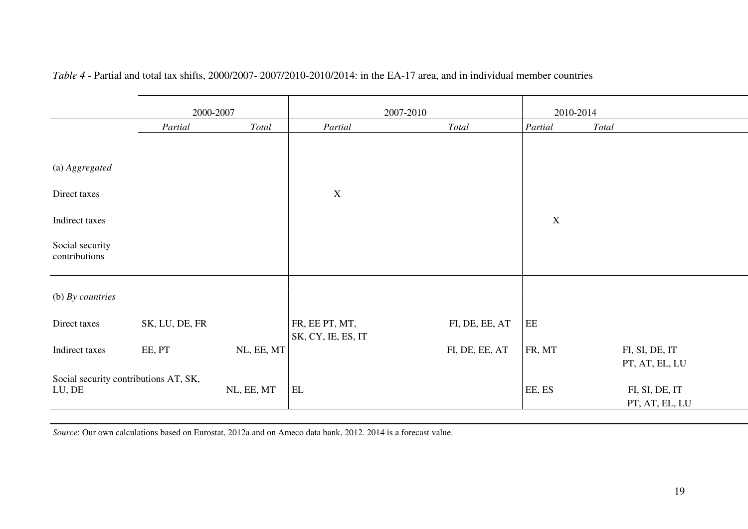|                                                 | 2000-2007      |            |                                      | 2007-2010              | 2010-2014   |                                  |
|-------------------------------------------------|----------------|------------|--------------------------------------|------------------------|-------------|----------------------------------|
|                                                 | Partial        | Total      | Partial                              | $\operatorname{Total}$ | Partial     | Total                            |
|                                                 |                |            |                                      |                        |             |                                  |
| (a) Aggregated                                  |                |            |                                      |                        |             |                                  |
| Direct taxes                                    |                |            | $\mathbf X$                          |                        |             |                                  |
| Indirect taxes                                  |                |            |                                      |                        | $\mathbf X$ |                                  |
| Social security<br>contributions                |                |            |                                      |                        |             |                                  |
| (b) By countries                                |                |            |                                      |                        |             |                                  |
| Direct taxes                                    | SK, LU, DE, FR |            | FR, EE PT, MT,<br>SK, CY, IE, ES, IT | FI, DE, EE, AT         | $\rm{EE}$   |                                  |
| Indirect taxes                                  | EE, PT         | NL, EE, MT |                                      | FI, DE, EE, AT         | FR, MT      | FI, SI, DE, IT<br>PT, AT, EL, LU |
| Social security contributions AT, SK,<br>LU, DE |                | NL, EE, MT | $\mathop{\rm EL}$                    |                        | EE, ES      | FI, SI, DE, IT<br>PT, AT, EL, LU |

## *Table 4* - Partial and total tax shifts, 2000/2007- 2007/2010-2010/2014: in the EA-17 area, and in individual member countries

*Source*: Our own calculations based on Eurostat, 2012a and on Ameco data bank, 2012. 2014 is a forecast value.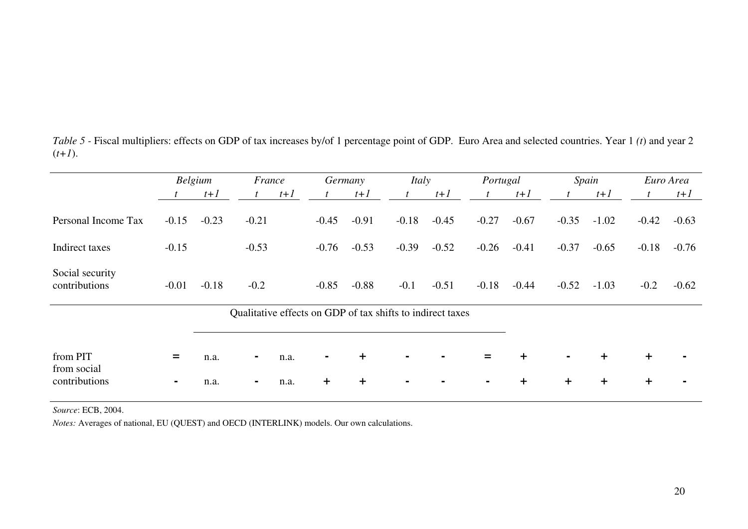|                                  | Belgium |         | France                                                     |       |            | Germany |         | Italy   |         | Portugal   | Spain          |           | Euro Area |         |
|----------------------------------|---------|---------|------------------------------------------------------------|-------|------------|---------|---------|---------|---------|------------|----------------|-----------|-----------|---------|
|                                  |         | $t+1$   |                                                            | $t+1$ |            | $t+1$   |         | $t+1$   | t       | $t+1$      |                | $t+1$     |           | $t+1$   |
| Personal Income Tax              | $-0.15$ | $-0.23$ | $-0.21$                                                    |       | $-0.45$    | $-0.91$ | $-0.18$ | $-0.45$ | $-0.27$ | $-0.67$    | $-0.35$        | $-1.02$   | $-0.42$   | $-0.63$ |
| Indirect taxes                   | $-0.15$ |         | $-0.53$                                                    |       | $-0.76$    | $-0.53$ | $-0.39$ | $-0.52$ | $-0.26$ | $-0.41$    | $-0.37$        | $-0.65$   | $-0.18$   | $-0.76$ |
| Social security<br>contributions | $-0.01$ | $-0.18$ | $-0.2$                                                     |       | $-0.85$    | $-0.88$ | $-0.1$  | $-0.51$ | $-0.18$ | $-0.44$    | $-0.52$        | $-1.03$   | $-0.2$    | $-0.62$ |
|                                  |         |         | Qualitative effects on GDP of tax shifts to indirect taxes |       |            |         |         |         |         |            |                |           |           |         |
|                                  |         |         |                                                            |       |            |         |         |         |         |            |                |           |           |         |
| from PIT<br>from social          | =       | n.a.    | $\blacksquare$                                             | n.a.  |            | $+$     |         |         | =       | $\pm$      | $\blacksquare$ | $\pm$     | $\ddot{}$ |         |
| contributions                    | ٠       | n.a.    | $\sim$                                                     | n.a.  | $\ddagger$ | $+$     |         |         | ۰       | $\ddagger$ | $\ddag$        | $\ddot{}$ | $\ddot{}$ |         |

*Table 5 -* Fiscal multipliers: effects on GDP of tax increases by/of 1 percentage point of GDP. Euro Area and selected countries. Year 1 *(t*) and year 2  $(t+1)$ .

*Source*: ECB, 2004.

*Notes:* Averages of national, EU (QUEST) and OECD (INTERLINK) models. Our own calculations.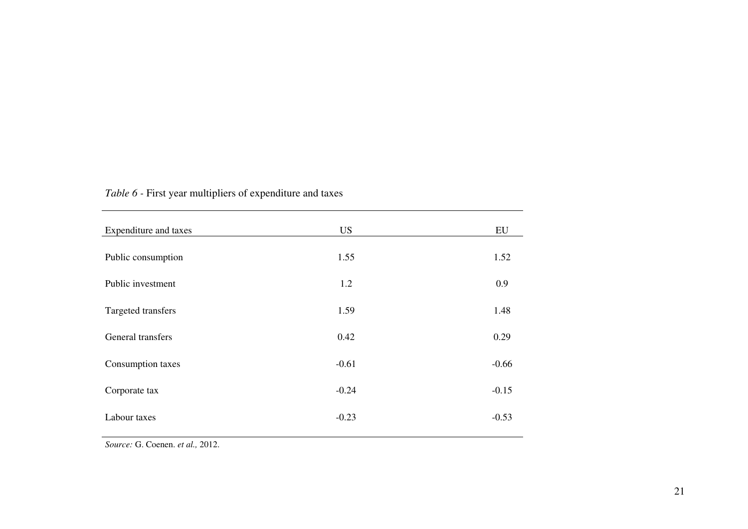| Expenditure and taxes | <b>US</b> | EU      |
|-----------------------|-----------|---------|
| Public consumption    | 1.55      | 1.52    |
|                       |           |         |
| Public investment     | 1.2       | 0.9     |
| Targeted transfers    | 1.59      | 1.48    |
| General transfers     | 0.42      | 0.29    |
| Consumption taxes     | $-0.61$   | $-0.66$ |
| Corporate tax         | $-0.24$   | $-0.15$ |
| Labour taxes          | $-0.23$   | $-0.53$ |
|                       |           |         |

# *Table 6 -* First year multipliers of expenditure and taxes

*Source:* G. Coenen. *et al.,* 2012.